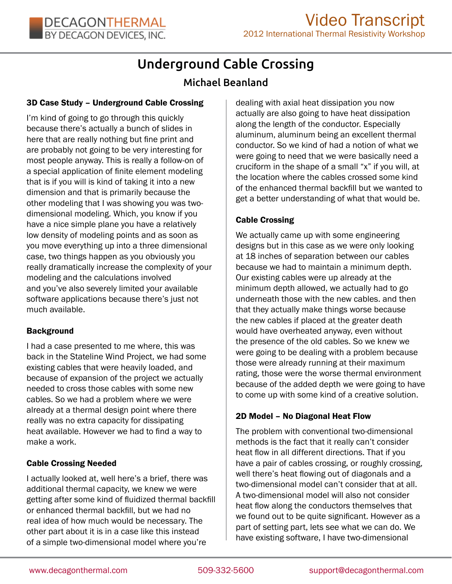# Underground Cable Crossing

# Michael Beanland

# 3D Case Study – Underground Cable Crossing

I'm kind of going to go through this quickly because there's actually a bunch of slides in here that are really nothing but fine print and are probably not going to be very interesting for most people anyway. This is really a follow-on of a special application of finite element modeling that is if you will is kind of taking it into a new dimension and that is primarily because the other modeling that I was showing you was twodimensional modeling. Which, you know if you have a nice simple plane you have a relatively low density of modeling points and as soon as you move everything up into a three dimensional case, two things happen as you obviously you really dramatically increase the complexity of your modeling and the calculations involved and you've also severely limited your available software applications because there's just not much available.

# Background

I had a case presented to me where, this was back in the Stateline Wind Project, we had some existing cables that were heavily loaded, and because of expansion of the project we actually needed to cross those cables with some new cables. So we had a problem where we were already at a thermal design point where there really was no extra capacity for dissipating heat available. However we had to find a way to make a work.

# Cable Crossing Needed

I actually looked at, well here's a brief, there was additional thermal capacity, we knew we were getting after some kind of fluidized thermal backfill or enhanced thermal backfill, but we had no real idea of how much would be necessary. The other part about it is in a case like this instead of a simple two-dimensional model where you're

dealing with axial heat dissipation you now actually are also going to have heat dissipation along the length of the conductor. Especially aluminum, aluminum being an excellent thermal conductor. So we kind of had a notion of what we were going to need that we were basically need a cruciform in the shape of a small "x" if you will, at the location where the cables crossed some kind of the enhanced thermal backfill but we wanted to get a better understanding of what that would be.

# Cable Crossing

We actually came up with some engineering designs but in this case as we were only looking at 18 inches of separation between our cables because we had to maintain a minimum depth. Our existing cables were up already at the minimum depth allowed, we actually had to go underneath those with the new cables. and then that they actually make things worse because the new cables if placed at the greater death would have overheated anyway, even without the presence of the old cables. So we knew we were going to be dealing with a problem because those were already running at their maximum rating, those were the worse thermal environment because of the added depth we were going to have to come up with some kind of a creative solution.

# 2D Model – No Diagonal Heat Flow

The problem with conventional two-dimensional methods is the fact that it really can't consider heat flow in all different directions. That if you have a pair of cables crossing, or roughly crossing, well there's heat flowing out of diagonals and a two-dimensional model can't consider that at all. A two-dimensional model will also not consider heat flow along the conductors themselves that we found out to be quite significant. However as a part of setting part, lets see what we can do. We have existing software, I have two-dimensional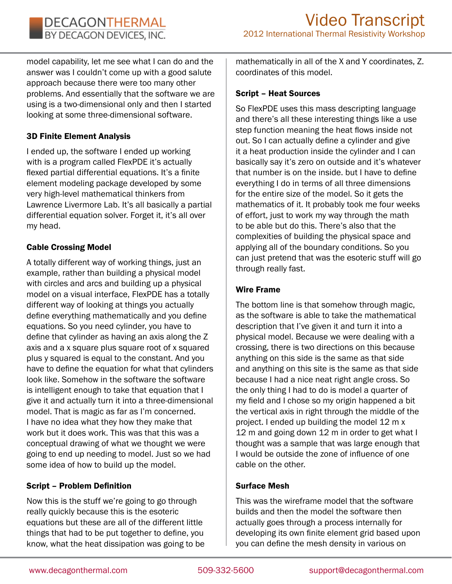model capability, let me see what I can do and the answer was I couldn't come up with a good salute approach because there were too many other problems. And essentially that the software we are using is a two-dimensional only and then I started looking at some three-dimensional software.

# 3D Finite Element Analysis

I ended up, the software I ended up working with is a program called FlexPDE it's actually flexed partial differential equations. It's a finite element modeling package developed by some very high-level mathematical thinkers from Lawrence Livermore Lab. It's all basically a partial differential equation solver. Forget it, it's all over my head.

#### Cable Crossing Model

A totally different way of working things, just an example, rather than building a physical model with circles and arcs and building up a physical model on a visual interface, FlexPDE has a totally different way of looking at things you actually define everything mathematically and you define equations. So you need cylinder, you have to define that cylinder as having an axis along the Z axis and a x square plus square root of x squared plus y squared is equal to the constant. And you have to define the equation for what that cylinders look like. Somehow in the software the software is intelligent enough to take that equation that I give it and actually turn it into a three-dimensional model. That is magic as far as I'm concerned. I have no idea what they how they make that work but it does work. This was that this was a conceptual drawing of what we thought we were going to end up needing to model. Just so we had some idea of how to build up the model.

#### Script – Problem Definition

Now this is the stuff we're going to go through really quickly because this is the esoteric equations but these are all of the different little things that had to be put together to define, you know, what the heat dissipation was going to be

mathematically in all of the X and Y coordinates, Z. coordinates of this model.

#### Script – Heat Sources

So FlexPDE uses this mass descripting language and there's all these interesting things like a use step function meaning the heat flows inside not out. So I can actually define a cylinder and give it a heat production inside the cylinder and I can basically say it's zero on outside and it's whatever that number is on the inside. but I have to define everything I do in terms of all three dimensions for the entire size of the model. So it gets the mathematics of it. It probably took me four weeks of effort, just to work my way through the math to be able but do this. There's also that the complexities of building the physical space and applying all of the boundary conditions. So you can just pretend that was the esoteric stuff will go through really fast.

#### Wire Frame

The bottom line is that somehow through magic, as the software is able to take the mathematical description that I've given it and turn it into a physical model. Because we were dealing with a crossing, there is two directions on this because anything on this side is the same as that side and anything on this site is the same as that side because I had a nice neat right angle cross. So the only thing I had to do is model a quarter of my field and I chose so my origin happened a bit the vertical axis in right through the middle of the project. I ended up building the model 12 m x 12 m and going down 12 m in order to get what I thought was a sample that was large enough that I would be outside the zone of influence of one cable on the other.

# Surface Mesh

This was the wireframe model that the software builds and then the model the software then actually goes through a process internally for developing its own finite element grid based upon you can define the mesh density in various on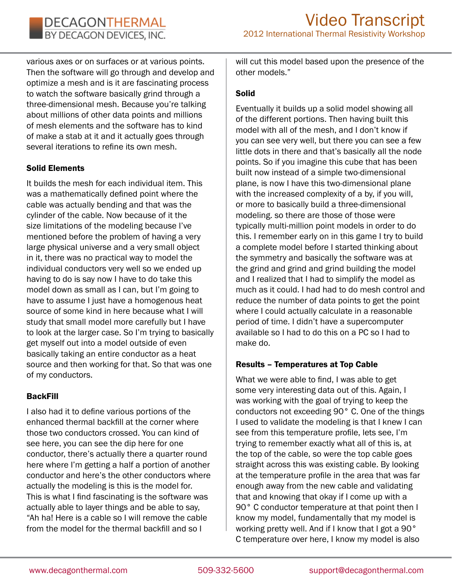various axes or on surfaces or at various points. Then the software will go through and develop and optimize a mesh and is it are fascinating process to watch the software basically grind through a three-dimensional mesh. Because you're talking about millions of other data points and millions of mesh elements and the software has to kind of make a stab at it and it actually goes through several iterations to refine its own mesh.

# Solid Elements

It builds the mesh for each individual item. This was a mathematically defined point where the cable was actually bending and that was the cylinder of the cable. Now because of it the size limitations of the modeling because I've mentioned before the problem of having a very large physical universe and a very small object in it, there was no practical way to model the individual conductors very well so we ended up having to do is say now I have to do take this model down as small as I can, but I'm going to have to assume I just have a homogenous heat source of some kind in here because what I will study that small model more carefully but I have to look at the larger case. So I'm trying to basically get myself out into a model outside of even basically taking an entire conductor as a heat source and then working for that. So that was one of my conductors.

#### BackFill

I also had it to define various portions of the enhanced thermal backfill at the corner where those two conductors crossed. You can kind of see here, you can see the dip here for one conductor, there's actually there a quarter round here where I'm getting a half a portion of another conductor and here's the other conductors where actually the modeling is this is the model for. This is what I find fascinating is the software was actually able to layer things and be able to say, "Ah ha! Here is a cable so I will remove the cable from the model for the thermal backfill and so I

will cut this model based upon the presence of the other models."

#### Solid

Eventually it builds up a solid model showing all of the different portions. Then having built this model with all of the mesh, and I don't know if you can see very well, but there you can see a few little dots in there and that's basically all the node points. So if you imagine this cube that has been built now instead of a simple two-dimensional plane, is now I have this two-dimensional plane with the increased complexity of a by, if you will, or more to basically build a three-dimensional modeling. so there are those of those were typically multi-million point models in order to do this. I remember early on in this game I try to build a complete model before I started thinking about the symmetry and basically the software was at the grind and grind and grind building the model and I realized that I had to simplify the model as much as it could. I had had to do mesh control and reduce the number of data points to get the point where I could actually calculate in a reasonable period of time. I didn't have a supercomputer available so I had to do this on a PC so I had to make do.

# Results – Temperatures at Top Cable

What we were able to find, I was able to get some very interesting data out of this. Again, I was working with the goal of trying to keep the conductors not exceeding 90° C. One of the things I used to validate the modeling is that I knew I can see from this temperature profile, lets see, I'm trying to remember exactly what all of this is, at the top of the cable, so were the top cable goes straight across this was existing cable. By looking at the temperature profile in the area that was far enough away from the new cable and validating that and knowing that okay if I come up with a 90° C conductor temperature at that point then I know my model, fundamentally that my model is working pretty well. And if I know that I got a 90° C temperature over here, I know my model is also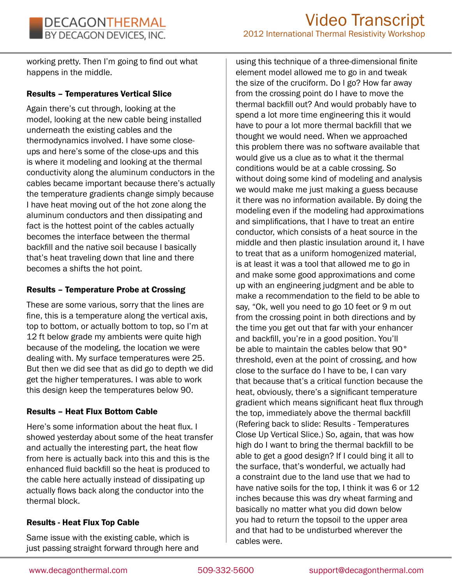working pretty. Then I'm going to find out what happens in the middle.

#### Results – Temperatures Vertical Slice

Again there's cut through, looking at the model, looking at the new cable being installed underneath the existing cables and the thermodynamics involved. I have some closeups and here's some of the close-ups and this is where it modeling and looking at the thermal conductivity along the aluminum conductors in the cables became important because there's actually the temperature gradients change simply because I have heat moving out of the hot zone along the aluminum conductors and then dissipating and fact is the hottest point of the cables actually becomes the interface between the thermal backfill and the native soil because I basically that's heat traveling down that line and there becomes a shifts the hot point.

#### Results – Temperature Probe at Crossing

These are some various, sorry that the lines are fine, this is a temperature along the vertical axis, top to bottom, or actually bottom to top, so I'm at 12 ft below grade my ambients were quite high because of the modeling, the location we were dealing with. My surface temperatures were 25. But then we did see that as did go to depth we did get the higher temperatures. I was able to work this design keep the temperatures below 90.

#### Results – Heat Flux Bottom Cable

Here's some information about the heat flux. I showed yesterday about some of the heat transfer and actually the interesting part, the heat flow from here is actually back into this and this is the enhanced fluid backfill so the heat is produced to the cable here actually instead of dissipating up actually flows back along the conductor into the thermal block.

#### Results - Heat Flux Top Cable

Same issue with the existing cable, which is just passing straight forward through here and

using this technique of a three-dimensional finite element model allowed me to go in and tweak the size of the cruciform. Do I go? How far away from the crossing point do I have to move the thermal backfill out? And would probably have to spend a lot more time engineering this it would have to pour a lot more thermal backfill that we thought we would need. When we approached this problem there was no software available that would give us a clue as to what it the thermal conditions would be at a cable crossing. So without doing some kind of modeling and analysis we would make me just making a guess because it there was no information available. By doing the modeling even if the modeling had approximations and simplifications, that I have to treat an entire conductor, which consists of a heat source in the middle and then plastic insulation around it, I have to treat that as a uniform homogenized material, is at least it was a tool that allowed me to go in and make some good approximations and come up with an engineering judgment and be able to make a recommendation to the field to be able to say, "Ok, well you need to go 10 feet or 9 m out from the crossing point in both directions and by the time you get out that far with your enhancer and backfill, you're in a good position. You'll be able to maintain the cables below that 90° threshold, even at the point of crossing, and how close to the surface do I have to be, I can vary that because that's a critical function because the heat, obviously, there's a significant temperature gradient which means significant heat flux through the top, immediately above the thermal backfill (Refering back to slide: Results - Temperatures Close Up Vertical Slice.) So, again, that was how high do I want to bring the thermal backfill to be able to get a good design? If I could bing it all to the surface, that's wonderful, we actually had a constraint due to the land use that we had to have native soils for the top, I think it was 6 or 12 inches because this was dry wheat farming and basically no matter what you did down below you had to return the topsoil to the upper area and that had to be undisturbed wherever the cables were.